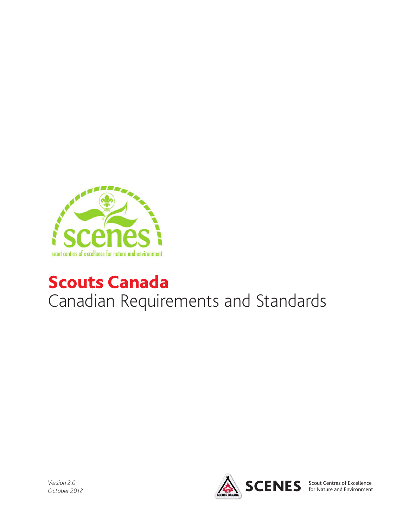

# Scouts Canada Canadian Requirements and Standards

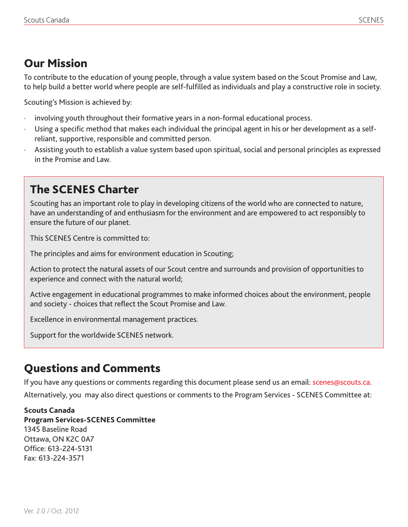# Our Mission

To contribute to the education of young people, through a value system based on the Scout Promise and Law, to help build a better world where people are self-fulfilled as individuals and play a constructive role in society.

Scouting's Mission is achieved by:

- involving youth throughout their formative years in a non-formal educational process.
- · Using a specific method that makes each individual the principal agent in his or her development as a selfreliant, supportive, responsible and committed person.
- Assisting youth to establish a value system based upon spiritual, social and personal principles as expressed in the Promise and Law.

# The SCENES Charter

Scouting has an important role to play in developing citizens of the world who are connected to nature, have an understanding of and enthusiasm for the environment and are empowered to act responsibly to ensure the future of our planet.

This SCENES Centre is committed to:

The principles and aims for environment education in Scouting;

Action to protect the natural assets of our Scout centre and surrounds and provision of opportunities to experience and connect with the natural world;

Active engagement in educational programmes to make informed choices about the environment, people and society - choices that reflect the Scout Promise and Law.

Excellence in environmental management practices.

Support for the worldwide SCENES network.

# Questions and Comments

If you have any questions or comments regarding this document please send us an email: scenes@scouts.ca. Alternatively, you may also direct questions or comments to the Program Services - SCENES Committee at:

#### **Scouts Canada**

**Program Services-SCENES Committee** 1345 Baseline Road Ottawa, ON K2C 0A7 Office: 613-224-5131 Fax: 613-224-3571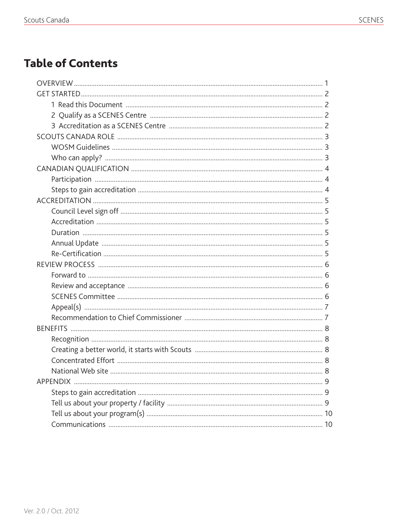# **Table of Contents**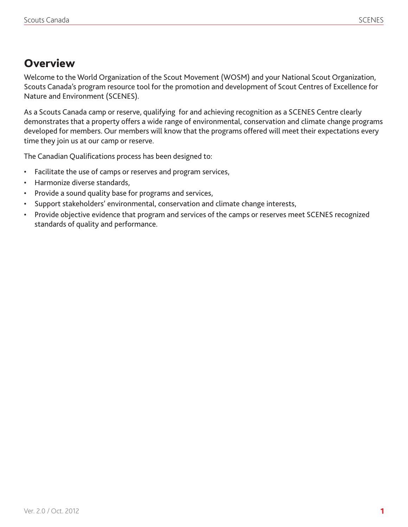# **Overview**

Welcome to the World Organization of the Scout Movement (WOSM) and your National Scout Organization, Scouts Canada's program resource tool for the promotion and development of Scout Centres of Excellence for Nature and Environment (SCENES).

As a Scouts Canada camp or reserve, qualifying for and achieving recognition as a SCENES Centre clearly demonstrates that a property offers a wide range of environmental, conservation and climate change programs developed for members. Our members will know that the programs offered will meet their expectations every time they join us at our camp or reserve.

The Canadian Qualifications process has been designed to:

- • Facilitate the use of camps or reserves and program services,
- Harmonize diverse standards,
- • Provide a sound quality base for programs and services,
- Support stakeholders' environmental, conservation and climate change interests,
- Provide objective evidence that program and services of the camps or reserves meet SCENES recognized standards of quality and performance.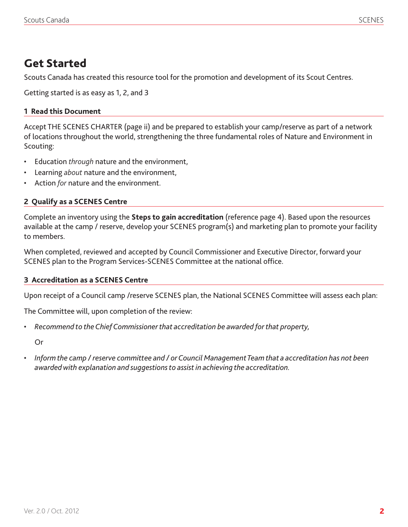### Get Started

Scouts Canada has created this resource tool for the promotion and development of its Scout Centres.

Getting started is as easy as 1, 2, and 3

#### **1 Read this Document**

Accept THE SCENES CHARTER (page ii) and be prepared to establish your camp/reserve as part of a network of locations throughout the world, strengthening the three fundamental roles of Nature and Environment in Scouting:

- Education *through* nature and the environment,
- • Learning *about* nature and the environment,
- Action *for* nature and the environment.

#### **2 Qualify as a SCENES Centre**

Complete an inventory using the **Steps to gain accreditation** (reference page 4). Based upon the resources available at the camp / reserve, develop your SCENES program(s) and marketing plan to promote your facility to members.

When completed, reviewed and accepted by Council Commissioner and Executive Director, forward your SCENES plan to the Program Services-SCENES Committee at the national office.

#### **3 Accreditation as a SCENES Centre**

Upon receipt of a Council camp /reserve SCENES plan, the National SCENES Committee will assess each plan:

The Committee will, upon completion of the review:

*• Recommend to theChiefCommissionerthat accreditation be awarded forthat property,*

Or

• *Inform the camp /reserve committee and / orCouncil ManagementTeam that a accreditation has not been awardedwith explanation and suggestionsto assist in achieving the accreditation.*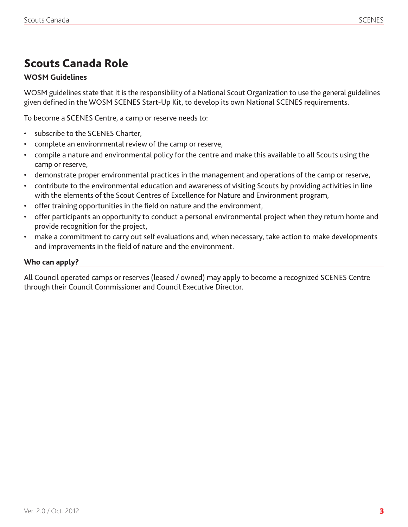# Scouts Canada Role

#### **WOSM Guidelines**

WOSM guidelines state that it is the responsibility of a National Scout Organization to use the general guidelines given defined in the WOSM SCENES Start-Up Kit, to develop its own National SCENES requirements.

To become a SCENES Centre, a camp or reserve needs to:

- subscribe to the SCENES Charter,
- complete an environmental review of the camp or reserve,
- compile a nature and environmental policy for the centre and make this available to all Scouts using the camp or reserve,
- demonstrate proper environmental practices in the management and operations of the camp or reserve,
- contribute to the environmental education and awareness of visiting Scouts by providing activities in line with the elements of the Scout Centres of Excellence for Nature and Environment program,
- • offer training opportunities in the field on nature and the environment,
- offer participants an opportunity to conduct a personal environmental project when they return home and provide recognition for the project,
- make a commitment to carry out self evaluations and, when necessary, take action to make developments and improvements in the field of nature and the environment.

#### **Who can apply?**

All Council operated camps or reserves (leased / owned) may apply to become a recognized SCENES Centre through their Council Commissioner and Council Executive Director.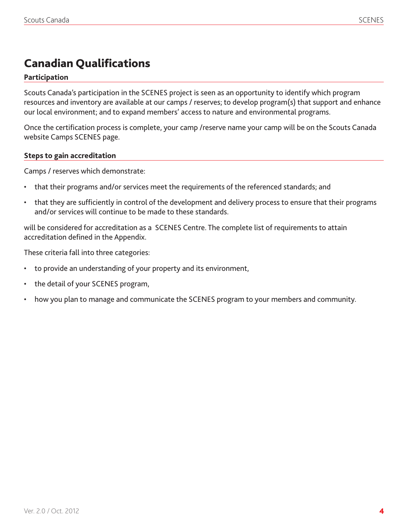# Canadian Qualifications

#### **Participation**

Scouts Canada's participation in the SCENES project is seen as an opportunity to identify which program resources and inventory are available at our camps / reserves; to develop program(s) that support and enhance our local environment; and to expand members' access to nature and environmental programs.

Once the certification process is complete, your camp /reserve name your camp will be on the Scouts Canada website Camps SCENES page.

#### **Steps to gain accreditation**

Camps / reserves which demonstrate:

- that their programs and/or services meet the requirements of the referenced standards; and
- that they are sufficiently in control of the development and delivery process to ensure that their programs and/or services will continue to be made to these standards.

will be considered for accreditation as a SCENES Centre. The complete list of requirements to attain accreditation defined in the Appendix.

These criteria fall into three categories:

- to provide an understanding of your property and its environment,
- the detail of your SCENES program,
- how you plan to manage and communicate the SCENES program to your members and community.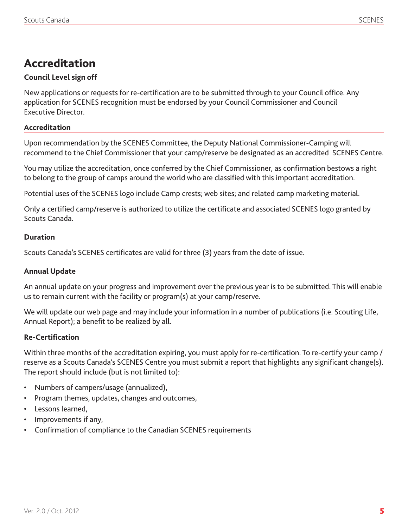# Accreditation

#### **Council Level sign off**

New applications or requests for re-certification are to be submitted through to your Council office. Any application for SCENES recognition must be endorsed by your Council Commissioner and Council Executive Director.

#### **Accreditation**

Upon recommendation by the SCENES Committee, the Deputy National Commissioner-Camping will recommend to the Chief Commissioner that your camp/reserve be designated as an accredited SCENES Centre.

You may utilize the accreditation, once conferred by the Chief Commissioner, as confirmation bestows a right to belong to the group of camps around the world who are classified with this important accreditation.

Potential uses of the SCENES logo include Camp crests; web sites; and related camp marketing material.

Only a certified camp/reserve is authorized to utilize the certificate and associated SCENES logo granted by Scouts Canada.

#### **Duration**

Scouts Canada's SCENES certificates are valid for three (3) years from the date of issue.

#### **Annual Update**

An annual update on your progress and improvement over the previous year is to be submitted. This will enable us to remain current with the facility or program(s) at your camp/reserve.

We will update our web page and may include your information in a number of publications (i.e. Scouting Life, Annual Report); a benefit to be realized by all.

#### **Re-Certification**

Within three months of the accreditation expiring, you must apply for re-certification. To re-certify your camp / reserve as a Scouts Canada's SCENES Centre you must submit a report that highlights any significant change(s). The report should include (but is not limited to):

- Numbers of campers/usage (annualized),
- Program themes, updates, changes and outcomes,
- Lessons learned.
- Improvements if any,
- Confirmation of compliance to the Canadian SCENES requirements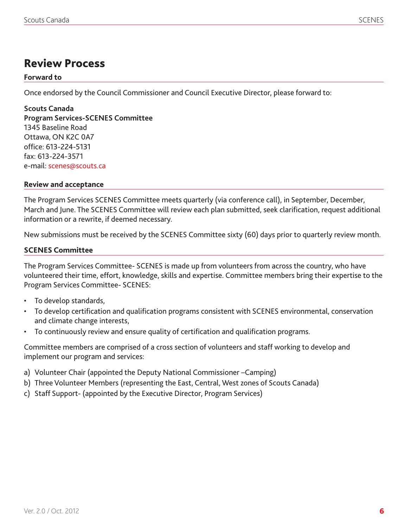### Review Process

#### **Forward to**

Once endorsed by the Council Commissioner and Council Executive Director, please forward to:

**Scouts Canada Program Services-SCENES Committee**  1345 Baseline Road Ottawa, ON K2C 0A7 office: 613-224-5131 fax: 613-224-3571 e-mail: scenes@scouts.ca

#### **Review and acceptance**

The Program Services SCENES Committee meets quarterly (via conference call), in September, December, March and June. The SCENES Committee will review each plan submitted, seek clarification, request additional information or a rewrite, if deemed necessary.

New submissions must be received by the SCENES Committee sixty (60) days prior to quarterly review month.

#### **SCENES Committee**

The Program Services Committee- SCENES is made up from volunteers from across the country, who have volunteered their time, effort, knowledge, skills and expertise. Committee members bring their expertise to the Program Services Committee- SCENES:

- To develop standards,
- To develop certification and qualification programs consistent with SCENES environmental, conservation and climate change interests,
- • To continuously review and ensure quality of certification and qualification programs.

Committee members are comprised of a cross section of volunteers and staff working to develop and implement our program and services:

- a) Volunteer Chair (appointed the Deputy National Commissioner –Camping)
- b) Three Volunteer Members (representing the East, Central, West zones of Scouts Canada)
- c) Staff Support- (appointed by the Executive Director, Program Services)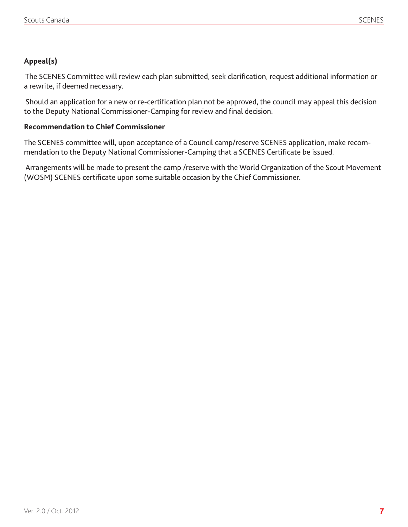#### **Appeal(s)**

 The SCENES Committee will review each plan submitted, seek clarification, request additional information or a rewrite, if deemed necessary.

 Should an application for a new or re-certification plan not be approved, the council may appeal this decision to the Deputy National Commissioner-Camping for review and final decision.

#### **Recommendation to Chief Commissioner**

The SCENES committee will, upon acceptance of a Council camp/reserve SCENES application, make recommendation to the Deputy National Commissioner-Camping that a SCENES Certificate be issued.

Arrangements will be made to present the camp /reserve with the World Organization of the Scout Movement (WOSM) SCENES certificate upon some suitable occasion by the Chief Commissioner.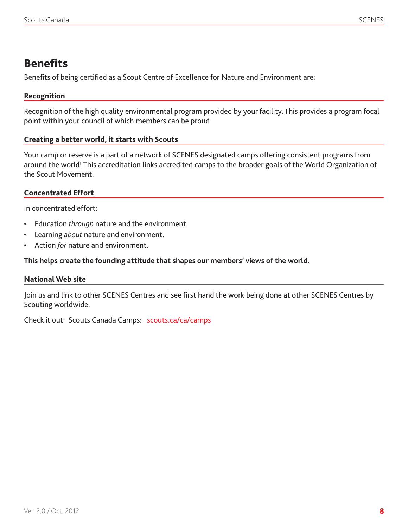### **Benefits**

Benefits of being certified as a Scout Centre of Excellence for Nature and Environment are:

#### **Recognition**

Recognition of the high quality environmental program provided by your facility. This provides a program focal point within your council of which members can be proud

#### **Creating a better world, it starts with Scouts**

Your camp or reserve is a part of a network of SCENES designated camps offering consistent programs from around the world! This accreditation links accredited camps to the broader goals of the World Organization of the Scout Movement.

#### **Concentrated Effort**

In concentrated effort:

- Education *through* nature and the environment,
- • Learning *about* nature and environment.
- Action *for* nature and environment.

#### **This helps create the founding attitude that shapes our members' views of the world.**

#### **National Web site**

Join us and link to other SCENES Centres and see first hand the work being done at other SCENES Centres by Scouting worldwide.

Check it out: Scouts Canada Camps: scouts.ca/ca/camps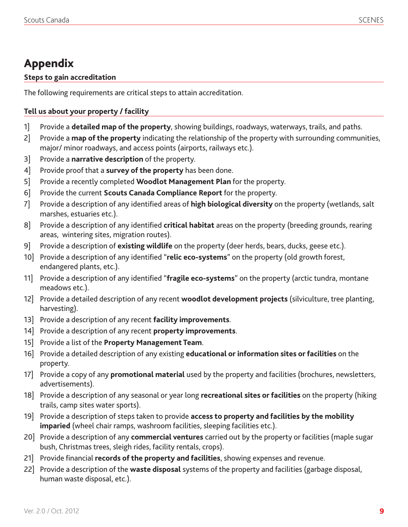# Appendix

#### **Steps to gain accreditation**

The following requirements are critical steps to attain accreditation.

#### **Tell us about your property / facility**

- 1] Provide a **detailed map of the property**, showing buildings, roadways, waterways, trails, and paths.
- 2] Provide a **map of the property** indicating the relationship of the property with surrounding communities, major/ minor roadways, and access points (airports, railways etc.).
- 3] Provide a **narrative description** of the property.
- 4] Provide proof that a **survey of the property** has been done.
- 5] Provide a recently completed **Woodlot Management Plan** for the property.
- 6] Provide the current **Scouts Canada Compliance Report** for the property.
- 7] Provide a description of any identified areas of **high biological diversity** on the property (wetlands, salt marshes, estuaries etc.).
- 8] Provide a description of any identified **critical habitat** areas on the property (breeding grounds, rearing areas, wintering sites, migration routes).
- 9] Provide a description of **existing wildlife** on the property (deer herds, bears, ducks, geese etc.).
- 10] Provide a description of any identified "**relic eco-systems**" on the property (old growth forest, endangered plants, etc.).
- 11] Provide a description of any identified "**fragile eco-systems**" on the property (arctic tundra, montane meadows etc.).
- 12] Provide a detailed description of any recent **woodlot development projects** (silviculture, tree planting, harvesting).
- 13] Provide a description of any recent **facility improvements**.
- 14] Provide a description of any recent **property improvements**.
- 15] Provide a list of the **Property Management Team**.
- 16] Provide a detailed description of any existing **educational or information sites or facilities** on the property.
- 17] Provide a copy of any **promotional material** used by the property and facilities (brochures, newsletters, advertisements).
- 18] Provide a description of any seasonal or year long **recreational sites or facilities** on the property (hiking trails, camp sites water sports).
- 19] Provide a description of steps taken to provide **access to property and facilities by the mobility imparied** (wheel chair ramps, washroom facilities, sleeping facilities etc.).
- 20] Provide a description of any **commercial ventures** carried out by the property or facilities (maple sugar bush, Christmas trees, sleigh rides, facility rentals, crops).
- 21] Provide financial **records of the property and facilities**, showing expenses and revenue.
- 22] Provide a description of the **waste disposal** systems of the property and facilities (garbage disposal, human waste disposal, etc.).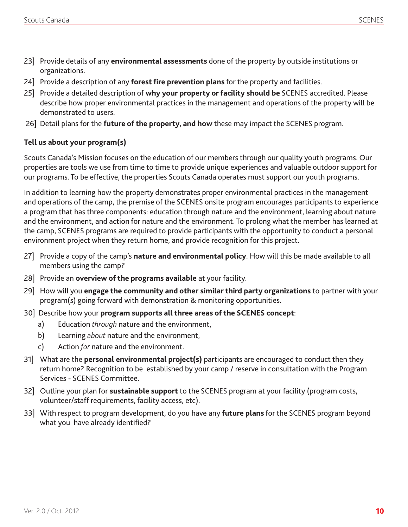- 23] Provide details of any **environmental assessments** done of the property by outside institutions or organizations.
- 24] Provide a description of any **forest fire prevention plans** for the property and facilities.
- 25] Provide a detailed description of **why your property or facility should be** SCENES accredited. Please describe how proper environmental practices in the management and operations of the property will be demonstrated to users.
- 26] Detail plans for the **future of the property, and how** these may impact the SCENES program.

#### **Tell us about your program(s)**

Scouts Canada's Mission focuses on the education of our members through our quality youth programs. Our properties are tools we use from time to time to provide unique experiences and valuable outdoor support for our programs. To be effective, the properties Scouts Canada operates must support our youth programs.

In addition to learning how the property demonstrates proper environmental practices in the management and operations of the camp, the premise of the SCENES onsite program encourages participants to experience a program that has three components: education through nature and the environment, learning about nature and the environment, and action for nature and the environment. To prolong what the member has learned at the camp, SCENES programs are required to provide participants with the opportunity to conduct a personal environment project when they return home, and provide recognition for this project.

- 27] Provide a copy of the camp's **nature and environmental policy**. How will this be made available to all members using the camp?
- 28] Provide an **overview of the programs available** at your facility.
- 29] How will you **engage the community and other similar third party organizations** to partner with your program(s) going forward with demonstration & monitoring opportunities.
- 30] Describe how your **program supports all three areas of the SCENES concept**:
	- a) Education *through* nature and the environment,
	- b) Learning *about* nature and the environment,
	- c) Action *for* nature and the environment.
- 31] What are the **personal environmental project(s)** participants are encouraged to conduct then they return home? Recognition to be established by your camp / reserve in consultation with the Program Services - SCENES Committee.
- 32] Outline your plan for **sustainable support** to the SCENES program at your facility (program costs, volunteer/staff requirements, facility access, etc).
- 33] With respect to program development, do you have any **future plans** for the SCENES program beyond what you have already identified?